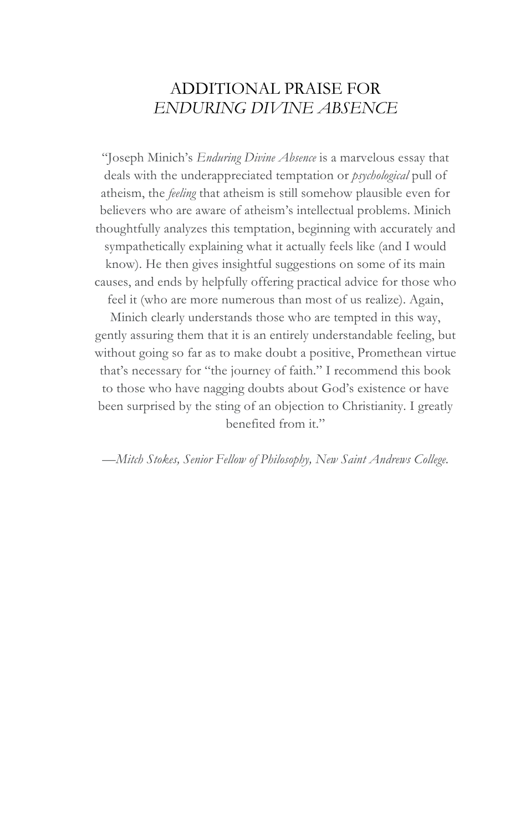### ADDITIONAL PRAISE FOR *ENDURING DIVINE ABSENCE*

"Joseph Minich's *Enduring Divine Absence* is a marvelous essay that deals with the underappreciated temptation or *psychological* pull of atheism, the *feeling* that atheism is still somehow plausible even for believers who are aware of atheism's intellectual problems. Minich thoughtfully analyzes this temptation, beginning with accurately and sympathetically explaining what it actually feels like (and I would know). He then gives insightful suggestions on some of its main causes, and ends by helpfully offering practical advice for those who feel it (who are more numerous than most of us realize). Again,

Minich clearly understands those who are tempted in this way, gently assuring them that it is an entirely understandable feeling, but without going so far as to make doubt a positive, Promethean virtue that's necessary for "the journey of faith." I recommend this book to those who have nagging doubts about God's existence or have been surprised by the sting of an objection to Christianity. I greatly benefited from it."

*—Mitch Stokes, Senior Fellow of Philosophy, New Saint Andrews College.*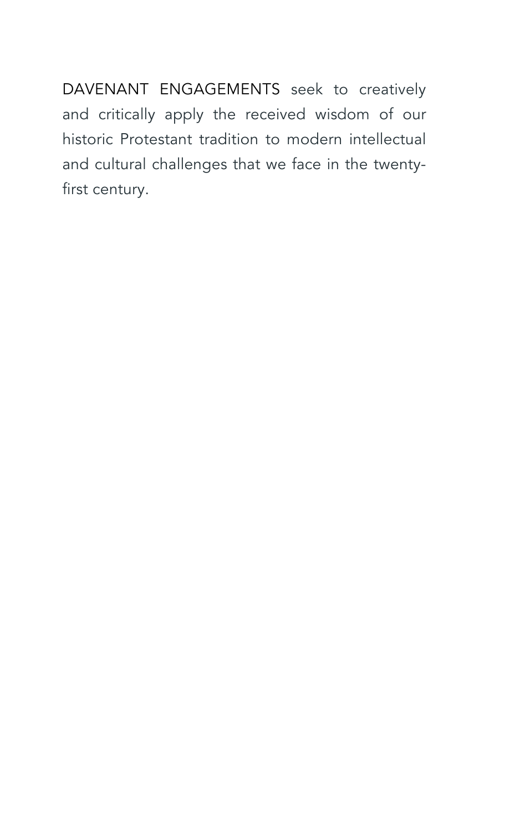DAVENANT ENGAGEMENTS seek to creatively and critically apply the received wisdom of our historic Protestant tradition to modern intellectual and cultural challenges that we face in the twentyfirst century.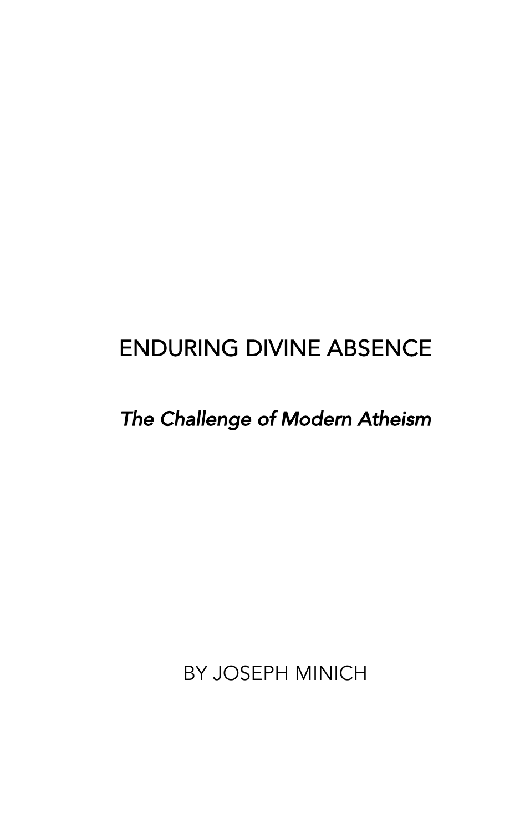# ENDURING DIVINE ABSENCE

# *The Challenge of Modern Atheism*

BY JOSEPH MINICH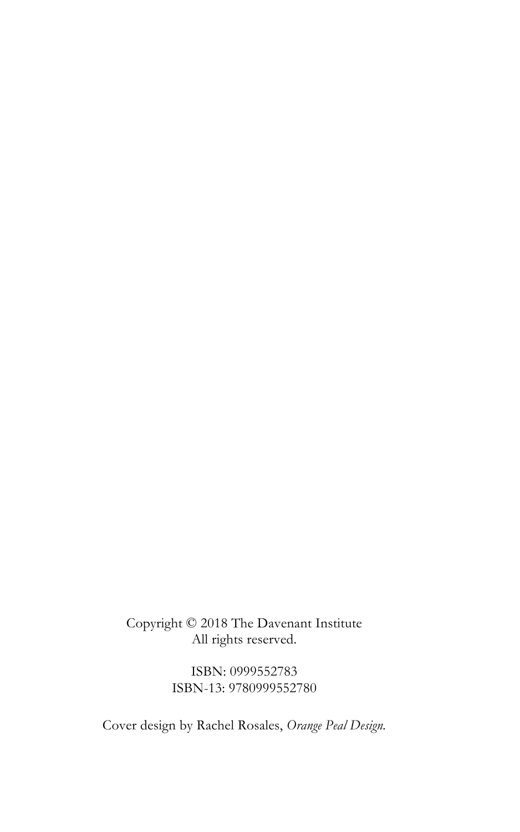Copyright © 2018 The Davenant Institute All rights reserved.

> ISBN: 0999552783 ISBN-13: 9780999552780

Cover design by Rachel Rosales, *Orange Peal Design.*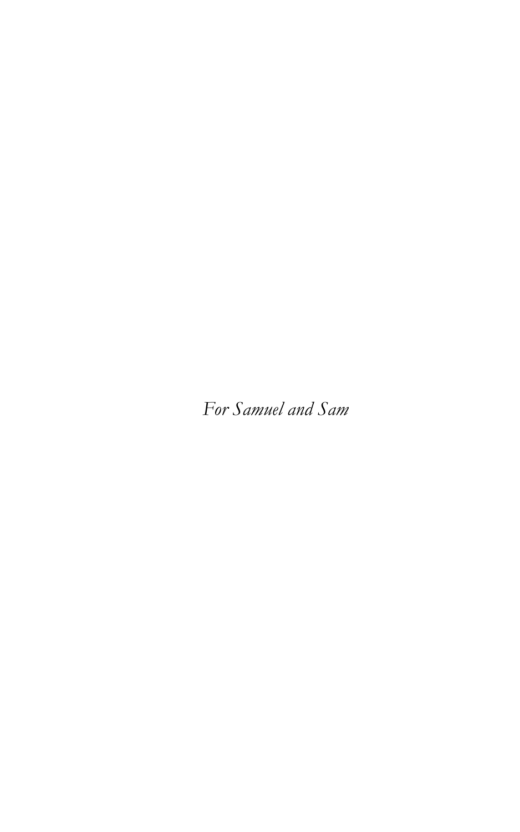*For Samuel and Sam*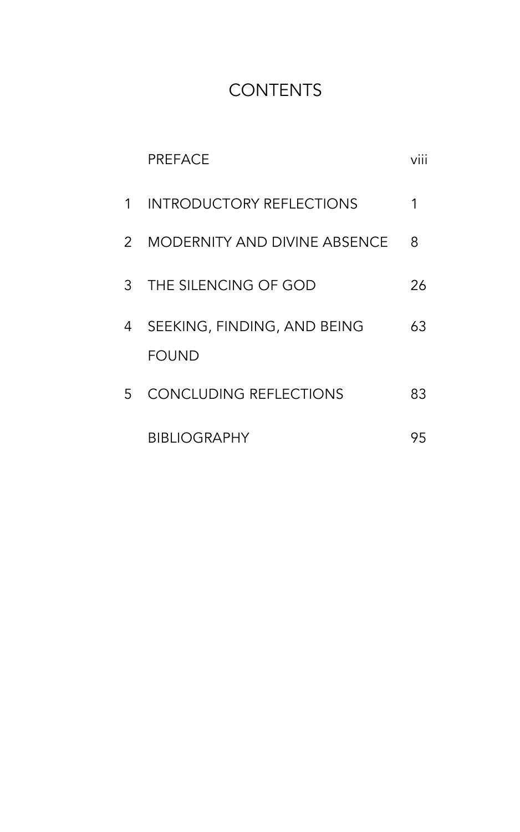# **CONTENTS**

|               | PRFFACF                                     |    |
|---------------|---------------------------------------------|----|
| $\mathbf{1}$  | <b>INTRODUCTORY REFLECTIONS</b>             | 1  |
| $\mathcal{P}$ | MODERNITY AND DIVINE ABSENCE                | 8  |
| 3             | THE SILENCING OF GOD                        | 26 |
| 4             | SEEKING, FINDING, AND BEING<br><b>FOUND</b> | 63 |
| 5.            | CONCLUDING REFLECTIONS                      | 83 |
|               | <b>BIBLIOGRAPHY</b>                         | 95 |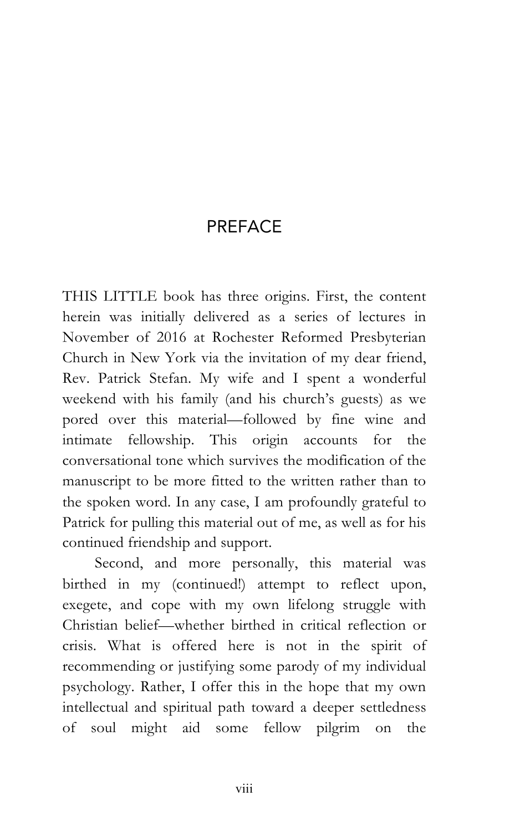### PREFACE

THIS LITTLE book has three origins. First, the content herein was initially delivered as a series of lectures in November of 2016 at Rochester Reformed Presbyterian Church in New York via the invitation of my dear friend, Rev. Patrick Stefan. My wife and I spent a wonderful weekend with his family (and his church's guests) as we pored over this material—followed by fine wine and intimate fellowship. This origin accounts for the conversational tone which survives the modification of the manuscript to be more fitted to the written rather than to the spoken word. In any case, I am profoundly grateful to Patrick for pulling this material out of me, as well as for his continued friendship and support.

Second, and more personally, this material was birthed in my (continued!) attempt to reflect upon, exegete, and cope with my own lifelong struggle with Christian belief—whether birthed in critical reflection or crisis. What is offered here is not in the spirit of recommending or justifying some parody of my individual psychology. Rather, I offer this in the hope that my own intellectual and spiritual path toward a deeper settledness of soul might aid some fellow pilgrim on the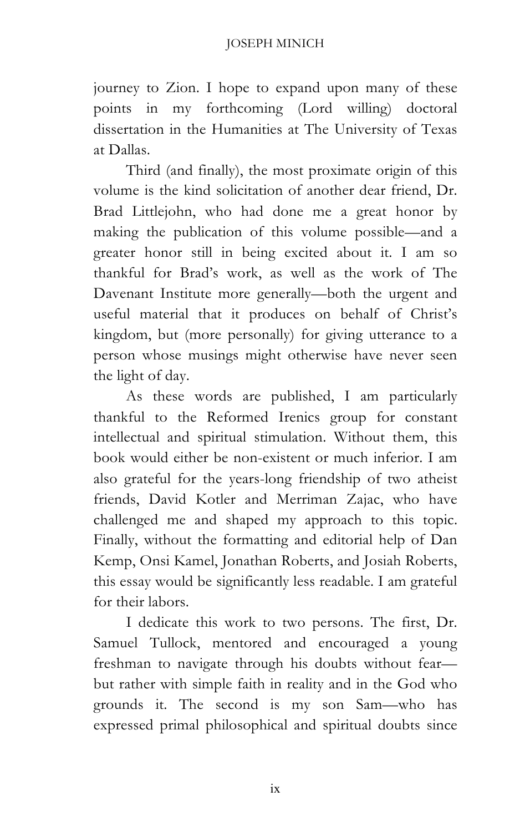journey to Zion. I hope to expand upon many of these points in my forthcoming (Lord willing) doctoral dissertation in the Humanities at The University of Texas at Dallas.

Third (and finally), the most proximate origin of this volume is the kind solicitation of another dear friend, Dr. Brad Littlejohn, who had done me a great honor by making the publication of this volume possible—and a greater honor still in being excited about it. I am so thankful for Brad's work, as well as the work of The Davenant Institute more generally—both the urgent and useful material that it produces on behalf of Christ's kingdom, but (more personally) for giving utterance to a person whose musings might otherwise have never seen the light of day.

As these words are published, I am particularly thankful to the Reformed Irenics group for constant intellectual and spiritual stimulation. Without them, this book would either be non-existent or much inferior. I am also grateful for the years-long friendship of two atheist friends, David Kotler and Merriman Zajac, who have challenged me and shaped my approach to this topic. Finally, without the formatting and editorial help of Dan Kemp, Onsi Kamel, Jonathan Roberts, and Josiah Roberts, this essay would be significantly less readable. I am grateful for their labors.

I dedicate this work to two persons. The first, Dr. Samuel Tullock, mentored and encouraged a young freshman to navigate through his doubts without fear but rather with simple faith in reality and in the God who grounds it. The second is my son Sam—who has expressed primal philosophical and spiritual doubts since

ix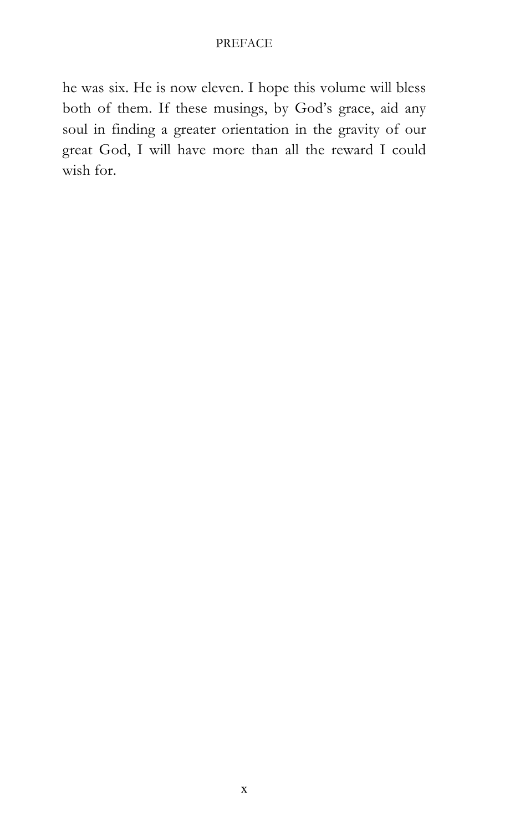#### PREFACE

he was six. He is now eleven. I hope this volume will bless both of them. If these musings, by God's grace, aid any soul in finding a greater orientation in the gravity of our great God, I will have more than all the reward I could wish for.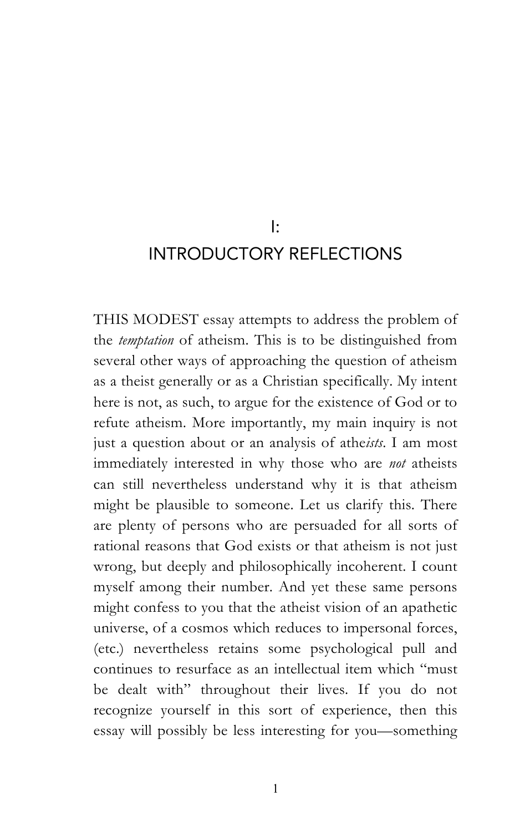I:

### INTRODUCTORY REFLECTIONS

THIS MODEST essay attempts to address the problem of the *temptation* of atheism. This is to be distinguished from several other ways of approaching the question of atheism as a theist generally or as a Christian specifically. My intent here is not, as such, to argue for the existence of God or to refute atheism. More importantly, my main inquiry is not just a question about or an analysis of athe*ists*. I am most immediately interested in why those who are *not* atheists can still nevertheless understand why it is that atheism might be plausible to someone. Let us clarify this. There are plenty of persons who are persuaded for all sorts of rational reasons that God exists or that atheism is not just wrong, but deeply and philosophically incoherent. I count myself among their number. And yet these same persons might confess to you that the atheist vision of an apathetic universe, of a cosmos which reduces to impersonal forces, (etc.) nevertheless retains some psychological pull and continues to resurface as an intellectual item which "must be dealt with" throughout their lives. If you do not recognize yourself in this sort of experience, then this essay will possibly be less interesting for you—something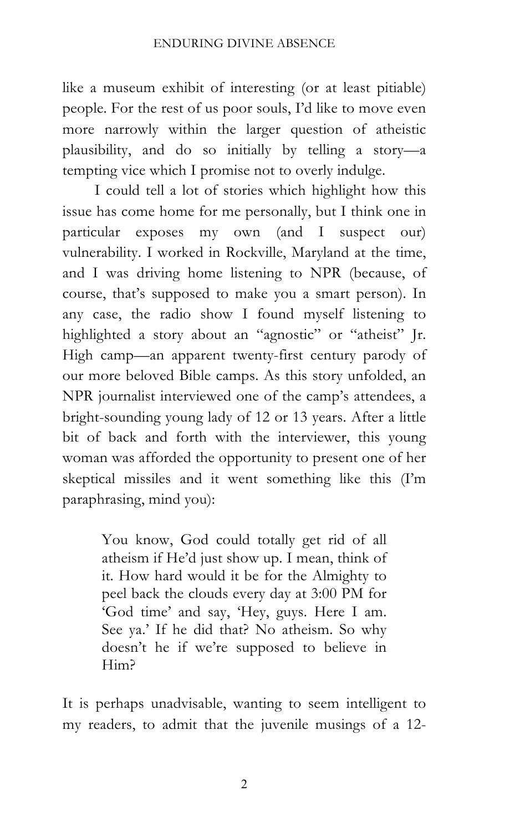like a museum exhibit of interesting (or at least pitiable) people. For the rest of us poor souls, I'd like to move even more narrowly within the larger question of atheistic plausibility, and do so initially by telling a story—a tempting vice which I promise not to overly indulge.

I could tell a lot of stories which highlight how this issue has come home for me personally, but I think one in particular exposes my own (and I suspect our) vulnerability. I worked in Rockville, Maryland at the time, and I was driving home listening to NPR (because, of course, that's supposed to make you a smart person). In any case, the radio show I found myself listening to highlighted a story about an "agnostic" or "atheist" Jr. High camp—an apparent twenty-first century parody of our more beloved Bible camps. As this story unfolded, an NPR journalist interviewed one of the camp's attendees, a bright-sounding young lady of 12 or 13 years. After a little bit of back and forth with the interviewer, this young woman was afforded the opportunity to present one of her skeptical missiles and it went something like this (I'm paraphrasing, mind you):

> You know, God could totally get rid of all atheism if He'd just show up. I mean, think of it. How hard would it be for the Almighty to peel back the clouds every day at 3:00 PM for 'God time' and say, 'Hey, guys. Here I am. See ya.' If he did that? No atheism. So why doesn't he if we're supposed to believe in Him?

It is perhaps unadvisable, wanting to seem intelligent to my readers, to admit that the juvenile musings of a 12-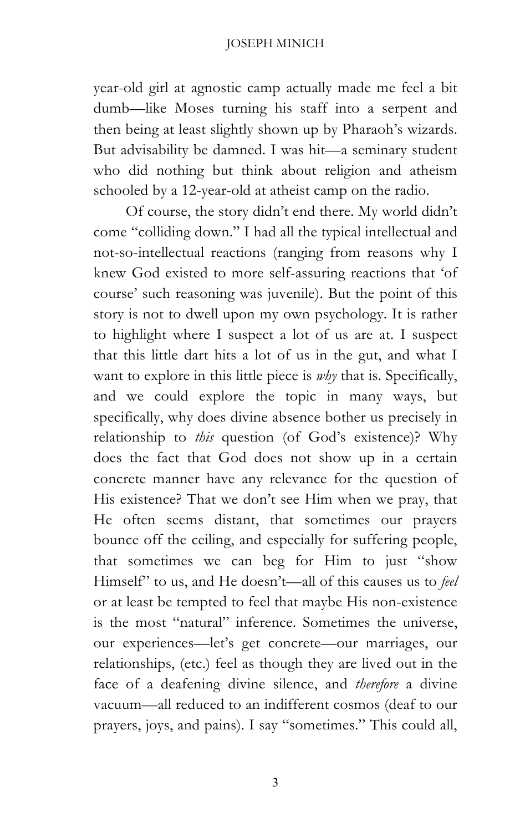#### JOSEPH MINICH

year-old girl at agnostic camp actually made me feel a bit dumb—like Moses turning his staff into a serpent and then being at least slightly shown up by Pharaoh's wizards. But advisability be damned. I was hit—a seminary student who did nothing but think about religion and atheism schooled by a 12-year-old at atheist camp on the radio.

Of course, the story didn't end there. My world didn't come "colliding down." I had all the typical intellectual and not-so-intellectual reactions (ranging from reasons why I knew God existed to more self-assuring reactions that 'of course' such reasoning was juvenile). But the point of this story is not to dwell upon my own psychology. It is rather to highlight where I suspect a lot of us are at. I suspect that this little dart hits a lot of us in the gut, and what I want to explore in this little piece is *why* that is. Specifically, and we could explore the topic in many ways, but specifically, why does divine absence bother us precisely in relationship to *this* question (of God's existence)? Why does the fact that God does not show up in a certain concrete manner have any relevance for the question of His existence? That we don't see Him when we pray, that He often seems distant, that sometimes our prayers bounce off the ceiling, and especially for suffering people, that sometimes we can beg for Him to just "show Himself" to us, and He doesn't—all of this causes us to *feel* or at least be tempted to feel that maybe His non-existence is the most "natural" inference. Sometimes the universe, our experiences—let's get concrete—our marriages, our relationships, (etc.) feel as though they are lived out in the face of a deafening divine silence, and *therefore* a divine vacuum—all reduced to an indifferent cosmos (deaf to our prayers, joys, and pains). I say "sometimes." This could all,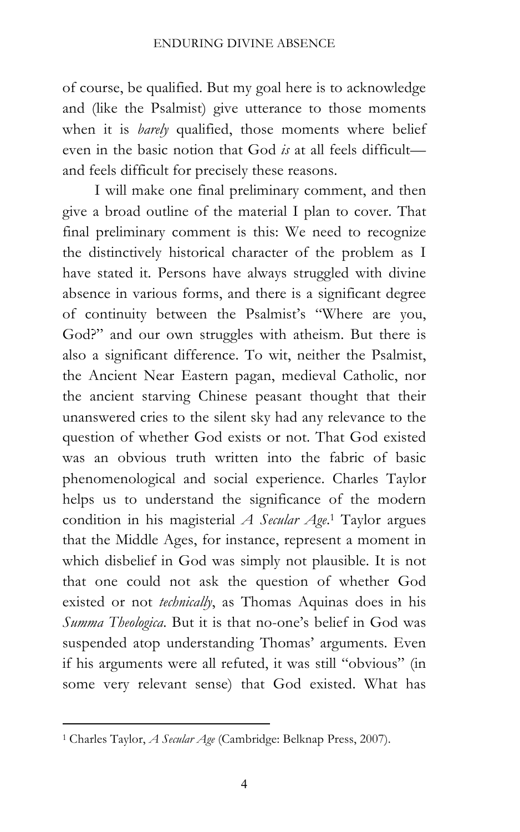of course, be qualified. But my goal here is to acknowledge and (like the Psalmist) give utterance to those moments when it is *barely* qualified, those moments where belief even in the basic notion that God *is* at all feels difficult and feels difficult for precisely these reasons.

I will make one final preliminary comment, and then give a broad outline of the material I plan to cover. That final preliminary comment is this: We need to recognize the distinctively historical character of the problem as I have stated it. Persons have always struggled with divine absence in various forms, and there is a significant degree of continuity between the Psalmist's "Where are you, God?" and our own struggles with atheism. But there is also a significant difference. To wit, neither the Psalmist, the Ancient Near Eastern pagan, medieval Catholic, nor the ancient starving Chinese peasant thought that their unanswered cries to the silent sky had any relevance to the question of whether God exists or not. That God existed was an obvious truth written into the fabric of basic phenomenological and social experience. Charles Taylor helps us to understand the significance of the modern condition in his magisterial *A Secular Age*. <sup>1</sup> Taylor argues that the Middle Ages, for instance, represent a moment in which disbelief in God was simply not plausible. It is not that one could not ask the question of whether God existed or not *technically*, as Thomas Aquinas does in his *Summa Theologica*. But it is that no-one's belief in God was suspended atop understanding Thomas' arguments. Even if his arguments were all refuted, it was still "obvious" (in some very relevant sense) that God existed. What has

 <sup>1</sup> Charles Taylor, *A Secular Age* (Cambridge: Belknap Press, 2007).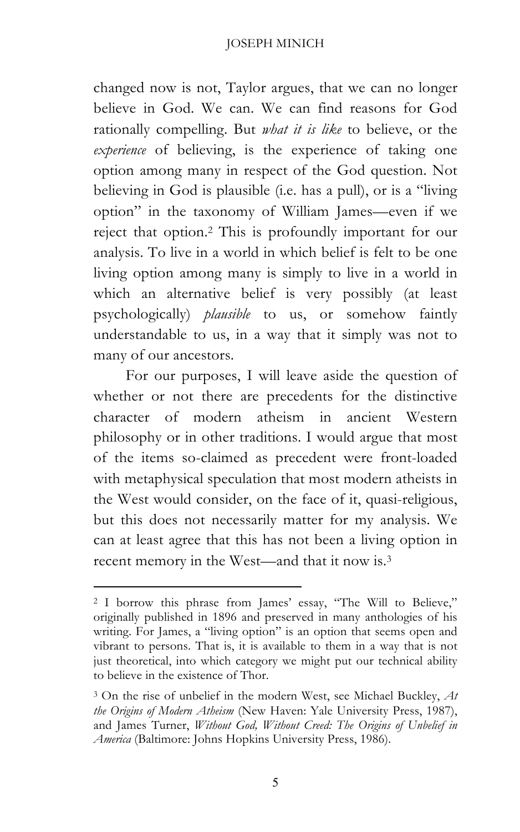#### JOSEPH MINICH

changed now is not, Taylor argues, that we can no longer believe in God. We can. We can find reasons for God rationally compelling. But *what it is like* to believe, or the *experience* of believing, is the experience of taking one option among many in respect of the God question. Not believing in God is plausible (i.e. has a pull), or is a "living option" in the taxonomy of William James—even if we reject that option.2 This is profoundly important for our analysis. To live in a world in which belief is felt to be one living option among many is simply to live in a world in which an alternative belief is very possibly (at least psychologically) *plausible* to us, or somehow faintly understandable to us, in a way that it simply was not to many of our ancestors.

For our purposes, I will leave aside the question of whether or not there are precedents for the distinctive character of modern atheism in ancient Western philosophy or in other traditions. I would argue that most of the items so-claimed as precedent were front-loaded with metaphysical speculation that most modern atheists in the West would consider, on the face of it, quasi-religious, but this does not necessarily matter for my analysis. We can at least agree that this has not been a living option in recent memory in the West—and that it now is.3

 

<sup>2</sup> I borrow this phrase from James' essay, "The Will to Believe," originally published in 1896 and preserved in many anthologies of his writing. For James, a "living option" is an option that seems open and vibrant to persons. That is, it is available to them in a way that is not just theoretical, into which category we might put our technical ability to believe in the existence of Thor.

<sup>3</sup> On the rise of unbelief in the modern West, see Michael Buckley, *At the Origins of Modern Atheism* (New Haven: Yale University Press, 1987), and James Turner, *Without God, Without Creed: The Origins of Unbelief in America* (Baltimore: Johns Hopkins University Press, 1986).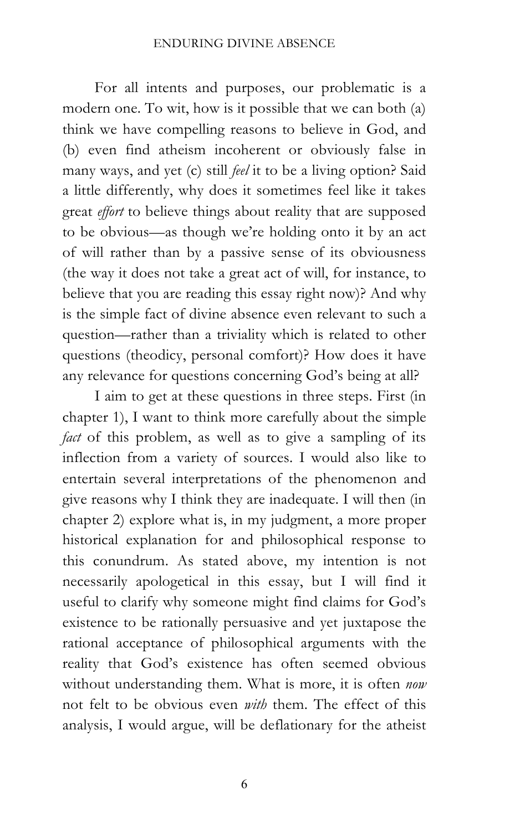For all intents and purposes, our problematic is a modern one. To wit, how is it possible that we can both (a) think we have compelling reasons to believe in God, and (b) even find atheism incoherent or obviously false in many ways, and yet (c) still *feel* it to be a living option? Said a little differently, why does it sometimes feel like it takes great *effort* to believe things about reality that are supposed to be obvious—as though we're holding onto it by an act of will rather than by a passive sense of its obviousness (the way it does not take a great act of will, for instance, to believe that you are reading this essay right now)? And why is the simple fact of divine absence even relevant to such a question—rather than a triviality which is related to other questions (theodicy, personal comfort)? How does it have any relevance for questions concerning God's being at all?

I aim to get at these questions in three steps. First (in chapter 1), I want to think more carefully about the simple *fact* of this problem, as well as to give a sampling of its inflection from a variety of sources. I would also like to entertain several interpretations of the phenomenon and give reasons why I think they are inadequate. I will then (in chapter 2) explore what is, in my judgment, a more proper historical explanation for and philosophical response to this conundrum. As stated above, my intention is not necessarily apologetical in this essay, but I will find it useful to clarify why someone might find claims for God's existence to be rationally persuasive and yet juxtapose the rational acceptance of philosophical arguments with the reality that God's existence has often seemed obvious without understanding them. What is more, it is often *now* not felt to be obvious even *with* them. The effect of this analysis, I would argue, will be deflationary for the atheist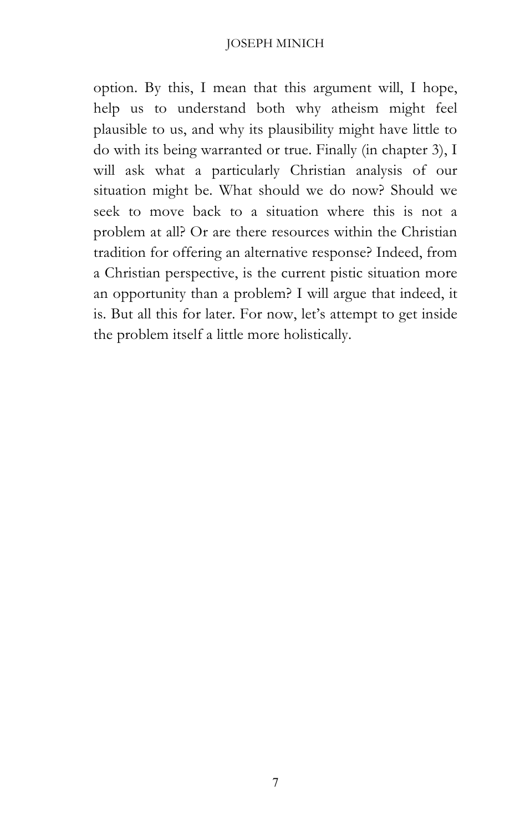#### JOSEPH MINICH

option. By this, I mean that this argument will, I hope, help us to understand both why atheism might feel plausible to us, and why its plausibility might have little to do with its being warranted or true. Finally (in chapter 3), I will ask what a particularly Christian analysis of our situation might be. What should we do now? Should we seek to move back to a situation where this is not a problem at all? Or are there resources within the Christian tradition for offering an alternative response? Indeed, from a Christian perspective, is the current pistic situation more an opportunity than a problem? I will argue that indeed, it is. But all this for later. For now, let's attempt to get inside the problem itself a little more holistically.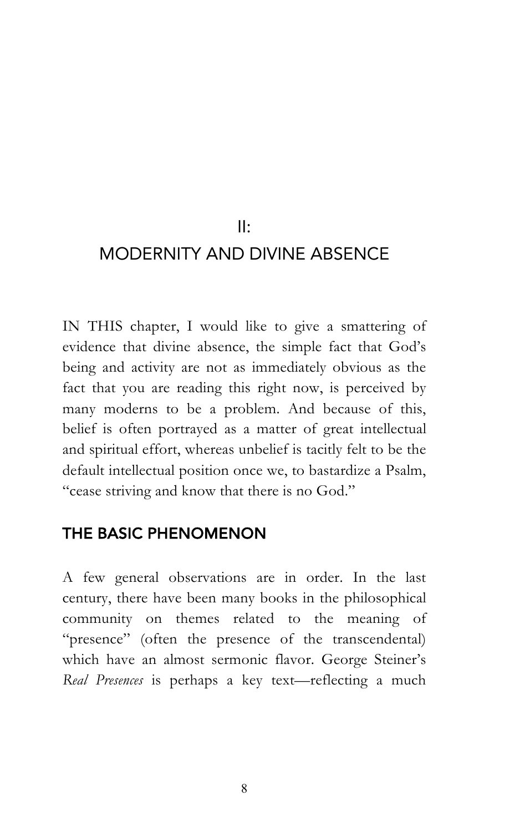#### II:

## MODERNITY AND DIVINE ABSENCE

IN THIS chapter, I would like to give a smattering of evidence that divine absence, the simple fact that God's being and activity are not as immediately obvious as the fact that you are reading this right now, is perceived by many moderns to be a problem. And because of this, belief is often portrayed as a matter of great intellectual and spiritual effort, whereas unbelief is tacitly felt to be the default intellectual position once we, to bastardize a Psalm, "cease striving and know that there is no God."

### THE BASIC PHENOMENON

A few general observations are in order. In the last century, there have been many books in the philosophical community on themes related to the meaning of "presence" (often the presence of the transcendental) which have an almost sermonic flavor. George Steiner's *Real Presences* is perhaps a key text—reflecting a much